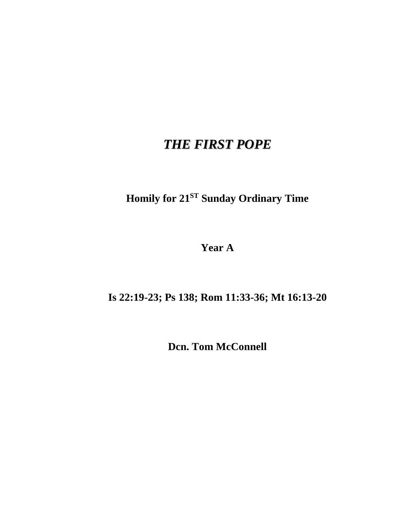## *THE FIRST POPE*

**Homily for 21ST Sunday Ordinary Time**

**Year A**

**Is 22:19-23; Ps 138; Rom 11:33-36; Mt 16:13-20**

**Dcn. Tom McConnell**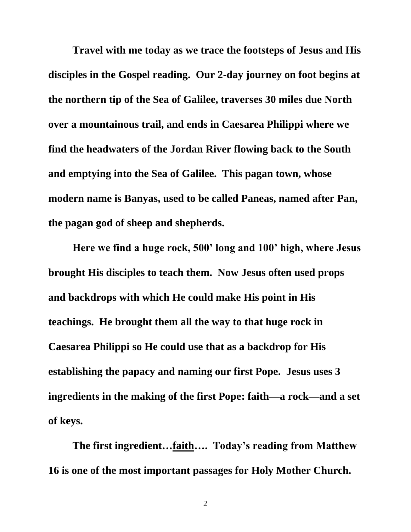**Travel with me today as we trace the footsteps of Jesus and His disciples in the Gospel reading. Our 2-day journey on foot begins at the northern tip of the Sea of Galilee, traverses 30 miles due North over a mountainous trail, and ends in Caesarea Philippi where we find the headwaters of the Jordan River flowing back to the South and emptying into the Sea of Galilee. This pagan town, whose modern name is Banyas, used to be called Paneas, named after Pan, the pagan god of sheep and shepherds.**

**Here we find a huge rock, 500' long and 100' high, where Jesus brought His disciples to teach them. Now Jesus often used props and backdrops with which He could make His point in His teachings. He brought them all the way to that huge rock in Caesarea Philippi so He could use that as a backdrop for His establishing the papacy and naming our first Pope. Jesus uses 3 ingredients in the making of the first Pope: faith—a rock—and a set of keys.**

**The first ingredient…faith…. Today's reading from Matthew 16 is one of the most important passages for Holy Mother Church.**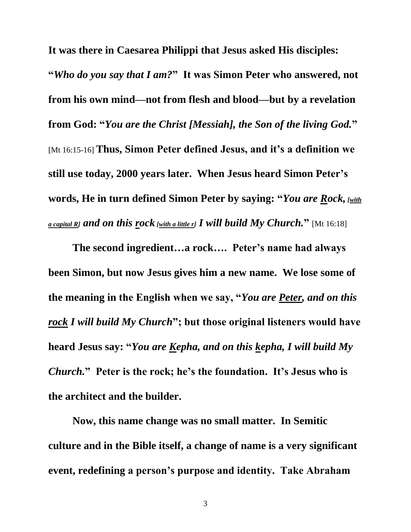**It was there in Caesarea Philippi that Jesus asked His disciples:**

**"***Who do you say that I am?***" It was Simon Peter who answered, not from his own mind—not from flesh and blood—but by a revelation from God: "***You are the Christ [Messiah], the Son of the living God.***"**  [Mt 16:15-16] **Thus, Simon Peter defined Jesus, and it's a definition we still use today, 2000 years later. When Jesus heard Simon Peter's words, He in turn defined Simon Peter by saying: "***You are Rock, [with a capital R] and on this rock [with a little r] I will build My Church.***"** [Mt 16:18]

**The second ingredient…a rock…. Peter's name had always been Simon, but now Jesus gives him a new name. We lose some of the meaning in the English when we say, "***You are Peter, and on this rock I will build My Church***"; but those original listeners would have heard Jesus say: "***You are Kepha, and on this kepha, I will build My Church.***" Peter is the rock; he's the foundation. It's Jesus who is the architect and the builder.**

**Now, this name change was no small matter. In Semitic culture and in the Bible itself, a change of name is a very significant event, redefining a person's purpose and identity. Take Abraham**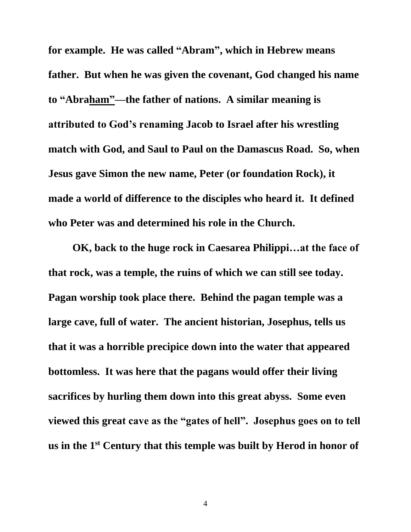**for example. He was called "Abram", which in Hebrew means father. But when he was given the covenant, God changed his name to "Abraham"—the father of nations. A similar meaning is attributed to God's renaming Jacob to Israel after his wrestling match with God, and Saul to Paul on the Damascus Road. So, when Jesus gave Simon the new name, Peter (or foundation Rock), it made a world of difference to the disciples who heard it. It defined who Peter was and determined his role in the Church.**

**OK, back to the huge rock in Caesarea Philippi…at the face of that rock, was a temple, the ruins of which we can still see today. Pagan worship took place there. Behind the pagan temple was a large cave, full of water. The ancient historian, Josephus, tells us that it was a horrible precipice down into the water that appeared bottomless. It was here that the pagans would offer their living sacrifices by hurling them down into this great abyss. Some even viewed this great cave as the "gates of hell". Josephus goes on to tell us in the 1st Century that this temple was built by Herod in honor of**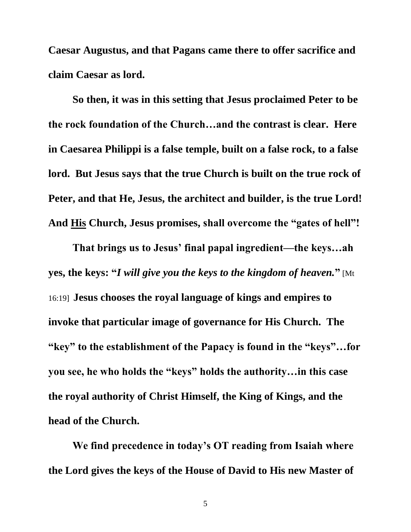**Caesar Augustus, and that Pagans came there to offer sacrifice and claim Caesar as lord.**

**So then, it was in this setting that Jesus proclaimed Peter to be the rock foundation of the Church…and the contrast is clear. Here in Caesarea Philippi is a false temple, built on a false rock, to a false lord. But Jesus says that the true Church is built on the true rock of Peter, and that He, Jesus, the architect and builder, is the true Lord! And His Church, Jesus promises, shall overcome the "gates of hell"!**

**That brings us to Jesus' final papal ingredient—the keys…ah yes, the keys: "***I will give you the keys to the kingdom of heaven.***"** [Mt 16:19] **Jesus chooses the royal language of kings and empires to invoke that particular image of governance for His Church. The "key" to the establishment of the Papacy is found in the "keys"…for you see, he who holds the "keys" holds the authority…in this case the royal authority of Christ Himself, the King of Kings, and the head of the Church.**

**We find precedence in today's OT reading from Isaiah where the Lord gives the keys of the House of David to His new Master of**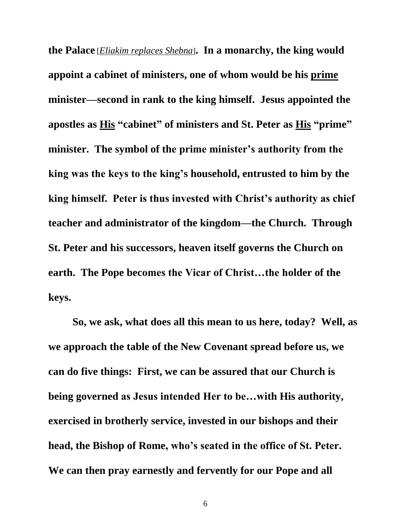**the Palace** [*Eliakim replaces Shebna*]**. In a monarchy, the king would appoint a cabinet of ministers, one of whom would be his prime minister—second in rank to the king himself. Jesus appointed the apostles as His "cabinet" of ministers and St. Peter as His "prime" minister. The symbol of the prime minister's authority from the king was the keys to the king's household, entrusted to him by the king himself. Peter is thus invested with Christ's authority as chief teacher and administrator of the kingdom—the Church. Through St. Peter and his successors, heaven itself governs the Church on earth. The Pope becomes the Vicar of Christ…the holder of the keys.**

**So, we ask, what does all this mean to us here, today? Well, as we approach the table of the New Covenant spread before us, we can do five things: First, we can be assured that our Church is being governed as Jesus intended Her to be…with His authority, exercised in brotherly service, invested in our bishops and their head, the Bishop of Rome, who's seated in the office of St. Peter. We can then pray earnestly and fervently for our Pope and all** 

6